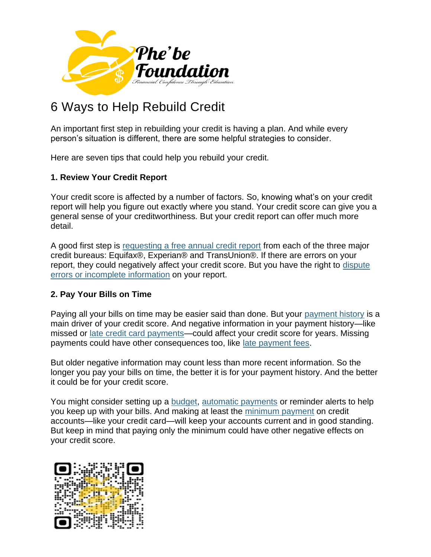

# 6 Ways to Help Rebuild Credit

An important first step in rebuilding your credit is having a plan. And while every person's situation is different, there are some helpful strategies to consider.

Here are seven tips that could help you rebuild your credit.

### **1. Review Your Credit Report**

Your credit score is affected by a number of factors. So, knowing what's on your credit report will help you figure out exactly where you stand. Your credit score can give you a general sense of your creditworthiness. But your credit report can offer much more detail.

A good first step is [requesting a free annual credit report](https://www.annualcreditreport.com/index.action) from each of the three major credit bureaus: Equifax®, Experian® and TransUnion®. If there are errors on your report, they could negatively affect your credit score. But you have the right to [dispute](https://www.consumer.ftc.gov/articles/0151-disputing-errors-credit-reports/)  [errors or incomplete information](https://www.consumer.ftc.gov/articles/0151-disputing-errors-credit-reports/) on your report.

### **2. Pay Your Bills on Time**

Paying all your bills on time may be easier said than done. But your [payment history](https://www.capitalone.com/learn-grow/money-management/payment-history/) is a main driver of your credit score. And negative information in your payment history—like missed or [late credit card payments—](https://www.capitalone.com/learn-grow/money-management/late-credit-card-payments/)could affect your credit score for years. Missing payments could have other consequences too, like [late payment fees.](https://www.capitalone.com/learn-grow/money-management/late-payment-fees/)

But older negative information may count less than more recent information. So the longer you pay your bills on time, the better it is for your payment history. And the better it could be for your credit score.

You might consider setting up a [budget,](https://www.consumerfinance.gov/about-us/blog/budgeting-how-to-create-a-budget-and-stick-with-it/) [automatic payments](https://www.capitalone.com/support-center/credit-cards/set-up-AutoPay) or reminder alerts to help you keep up with your bills. And making at least the [minimum payment](https://www.capitalone.com/learn-grow/money-management/credit-card-minimum-pay-explained/) on credit accounts—like your credit card—will keep your accounts current and in good standing. But keep in mind that paying only the minimum could have other negative effects on your credit score.

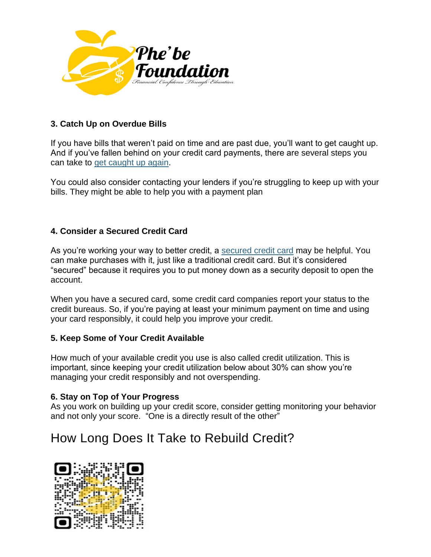

## **3. Catch Up on Overdue Bills**

If you have bills that weren't paid on time and are past due, you'll want to get caught up. And if you've fallen behind on your credit card payments, there are several steps you can take to [get caught up again.](https://www.capitalone.com/learn-grow/money-management/unable-to-pay-credit-cards-what-happens/)

You could also consider contacting your lenders if you're struggling to keep up with your bills. They might be able to help you with a payment plan

## **4. Consider a Secured Credit Card**

As you're working your way to better credit, a [secured credit card](https://www.capitalone.com/learn-grow/money-management/how-secured-credit-cards-work/) may be helpful. You can make purchases with it, just like a traditional credit card. But it's considered "secured" because it requires you to put money down as a security deposit to open the account.

When you have a secured card, some credit card companies report your status to the credit bureaus. So, if you're paying at least your minimum payment on time and using your card responsibly, it could help you improve your credit.

### **5. Keep Some of Your Credit Available**

How much of your available credit you use is also called credit utilization. This is important, since keeping your credit utilization below about 30% can show you're managing your credit responsibly and not overspending.

### **6. Stay on Top of Your Progress**

As you work on building up your credit score, consider getting monitoring your behavior and not only your score. "One is a directly result of the other"

## How Long Does It Take to Rebuild Credit?